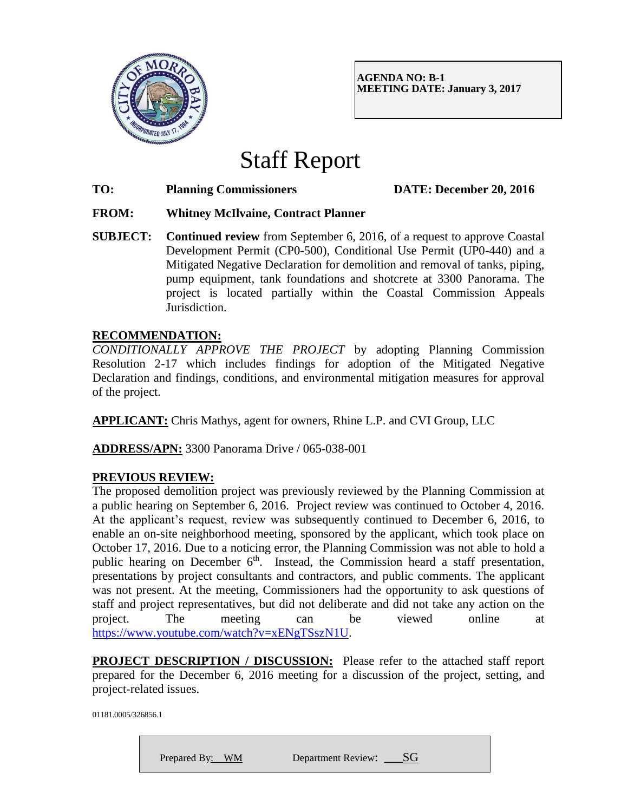

**AGENDA NO: B-1 MEETING DATE: January 3, 2017**

# Staff Report

**TO: Planning Commissioners DATE: December 20, 2016**

#### **FROM: Whitney McIlvaine, Contract Planner**

**SUBJECT: Continued review** from September 6, 2016, of a request to approve Coastal Development Permit (CP0-500), Conditional Use Permit (UP0-440) and a Mitigated Negative Declaration for demolition and removal of tanks, piping, pump equipment, tank foundations and shotcrete at 3300 Panorama. The project is located partially within the Coastal Commission Appeals Jurisdiction.

#### **RECOMMENDATION:**

*CONDITIONALLY APPROVE THE PROJECT* by adopting Planning Commission Resolution 2-17 which includes findings for adoption of the Mitigated Negative Declaration and findings, conditions, and environmental mitigation measures for approval of the project.

**APPLICANT:** Chris Mathys, agent for owners, Rhine L.P. and CVI Group, LLC

**ADDRESS/APN:** 3300 Panorama Drive / 065-038-001

## **PREVIOUS REVIEW:**

The proposed demolition project was previously reviewed by the Planning Commission at a public hearing on September 6, 2016. Project review was continued to October 4, 2016. At the applicant's request, review was subsequently continued to December 6, 2016, to enable an on-site neighborhood meeting, sponsored by the applicant, which took place on October 17, 2016. Due to a noticing error, the Planning Commission was not able to hold a public hearing on December  $6<sup>th</sup>$ . Instead, the Commission heard a staff presentation, presentations by project consultants and contractors, and public comments. The applicant was not present. At the meeting, Commissioners had the opportunity to ask questions of staff and project representatives, but did not deliberate and did not take any action on the project. The meeting can be viewed online at [https://www.youtube.com/watch?v=xENgTSszN1U.](https://www.youtube.com/watch?v=xENgTSszN1U)

**PROJECT DESCRIPTION / DISCUSSION:** Please refer to the attached staff report prepared for the December 6, 2016 meeting for a discussion of the project, setting, and project-related issues.

01181.0005/326856.1

Prepared By: WM Department Review:  $SG$